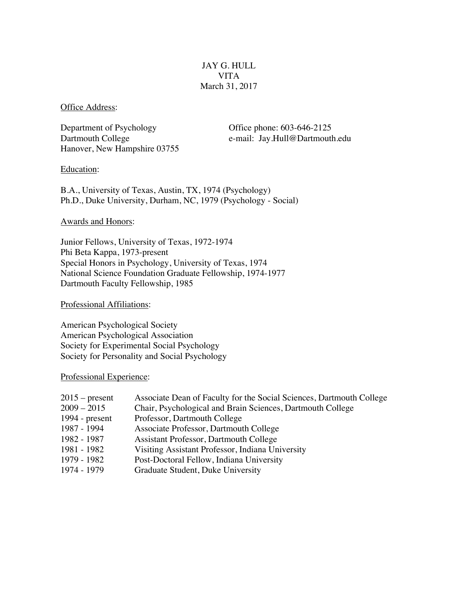# JAY G. HULL VITA March 31, 2017

Office Address:

Department of Psychology Office phone: 603-646-2125 Hanover, New Hampshire 03755

Dartmouth College e-mail: Jay.Hull@Dartmouth.edu

### Education:

B.A., University of Texas, Austin, TX, 1974 (Psychology) Ph.D., Duke University, Durham, NC, 1979 (Psychology - Social)

### Awards and Honors:

Junior Fellows, University of Texas, 1972-1974 Phi Beta Kappa, 1973-present Special Honors in Psychology, University of Texas, 1974 National Science Foundation Graduate Fellowship, 1974-1977 Dartmouth Faculty Fellowship, 1985

Professional Affiliations:

American Psychological Society American Psychological Association Society for Experimental Social Psychology Society for Personality and Social Psychology

### Professional Experience:

| $2015$ – present | Associate Dean of Faculty for the Social Sciences, Dartmouth College |
|------------------|----------------------------------------------------------------------|
| $2009 - 2015$    | Chair, Psychological and Brain Sciences, Dartmouth College           |
| $1994$ - present | Professor, Dartmouth College                                         |
| 1987 - 1994      | Associate Professor, Dartmouth College                               |
| 1982 - 1987      | Assistant Professor, Dartmouth College                               |
| 1981 - 1982      | Visiting Assistant Professor, Indiana University                     |
| 1979 - 1982      | Post-Doctoral Fellow, Indiana University                             |
| 1974 - 1979      | Graduate Student, Duke University                                    |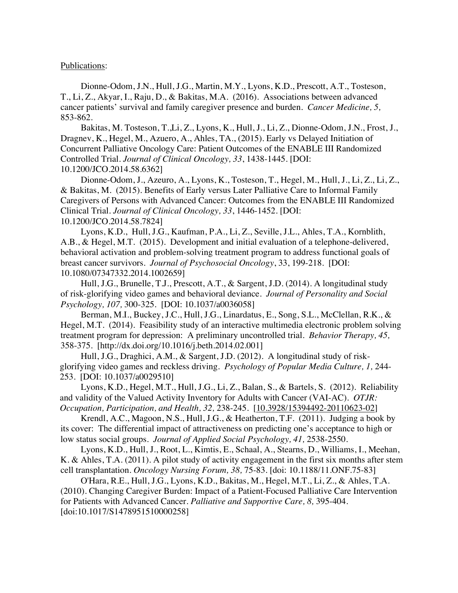#### Publications:

Dionne-Odom, J.N., Hull, J.G., Martin, M.Y., Lyons, K.D., Prescott, A.T., Tosteson, T., Li, Z., Akyar, I., Raju, D., & Bakitas, M.A. (2016). Associations between advanced cancer patients' survival and family caregiver presence and burden. *Cancer Medicine, 5,* 853-862.

Bakitas, M. Tosteson, T.,Li, Z., Lyons, K., Hull, J., Li, Z., Dionne-Odom, J.N., Frost, J., Dragnev, K., Hegel, M., Azuero, A., Ahles, TA., (2015). Early vs Delayed Initiation of Concurrent Palliative Oncology Care: Patient Outcomes of the ENABLE III Randomized Controlled Trial. *Journal of Clinical Oncology, 33*, 1438-1445*.* [DOI: 10.1200/JCO.2014.58.6362]

Dionne-Odom, J., Azeuro, A., Lyons, K., Tosteson, T., Hegel, M., Hull, J., Li, Z., Li, Z., & Bakitas, M. (2015). Benefits of Early versus Later Palliative Care to Informal Family Caregivers of Persons with Advanced Cancer: Outcomes from the ENABLE III Randomized Clinical Trial. *Journal of Clinical Oncology, 33*, 1446-1452*.* [DOI: 10.1200/JCO.2014.58.7824]

Lyons, K.D., Hull, J.G., Kaufman, P.A., Li, Z., Seville, J.L., Ahles, T.A., Kornblith, A.B., & Hegel, M.T. (2015). Development and initial evaluation of a telephone-delivered, behavioral activation and problem-solving treatment program to address functional goals of breast cancer survivors. *Journal of Psychosocial Oncology*, 33, 199-218. [DOI: 10.1080/07347332.2014.1002659]

Hull, J.G., Brunelle, T.J., Prescott, A.T., & Sargent, J.D. (2014). A longitudinal study of risk-glorifying video games and behavioral deviance. *Journal of Personality and Social Psychology, 107,* 300-325. [DOI: 10.1037/a0036058]

Berman, M.I., Buckey, J.C., Hull, J.G., Linardatus, E., Song, S.L., McClellan, R.K., & Hegel, M.T. (2014). Feasibility study of an interactive multimedia electronic problem solving treatment program for depression: A preliminary uncontrolled trial. *Behavior Therapy, 45,* 358-375. [http://dx.doi.org/10.1016/j.beth.2014.02.001]

Hull, J.G., Draghici, A.M., & Sargent, J.D. (2012). A longitudinal study of riskglorifying video games and reckless driving. *Psychology of Popular Media Culture, 1,* 244- 253. [DOI: 10.1037/a0029510]

Lyons, K.D., Hegel, M.T., Hull, J.G., Li, Z., Balan, S., & Bartels, S. (2012). Reliability and validity of the Valued Activity Inventory for Adults with Cancer (VAI-AC). *OTJR: Occupation, Participation, and Health, 32,* 238-245. [10.3928/15394492-20110623-02]

Krendl, A.C., Magoon, N.S., Hull, J.G., & Heatherton, T.F. (2011). Judging a book by its cover: The differential impact of attractiveness on predicting one's acceptance to high or low status social groups. *Journal of Applied Social Psychology, 41,* 2538-2550.

Lyons, K.D., Hull, J., Root, L., Kimtis, E., Schaal, A., Stearns, D., Williams, I., Meehan, K. & Ahles, T.A. (2011). A pilot study of activity engagement in the first six months after stem cell transplantation. *Oncology Nursing Forum, 38,* 75-83. [doi: 10.1188/11.ONF.75-83]

O'Hara, R.E., Hull, J.G., Lyons, K.D., Bakitas, M., Hegel, M.T., Li, Z., & Ahles, T.A. (2010). Changing Caregiver Burden: Impact of a Patient-Focused Palliative Care Intervention for Patients with Advanced Cancer. *Palliative and Supportive Care, 8,* 395-404. [doi:10.1017/S1478951510000258]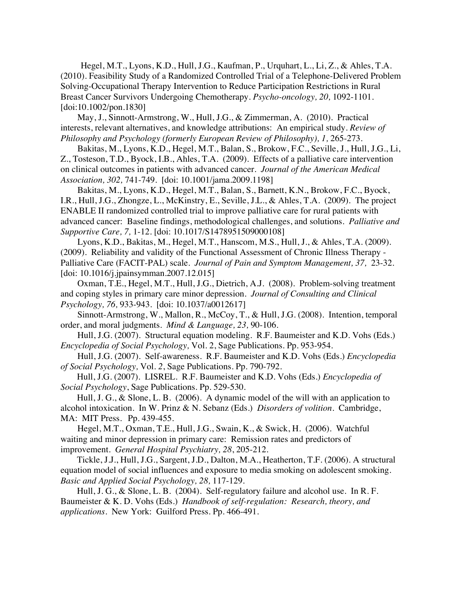Hegel, M.T., Lyons, K.D., Hull, J.G., Kaufman, P., Urquhart, L., Li, Z., & Ahles, T.A. (2010). Feasibility Study of a Randomized Controlled Trial of a Telephone-Delivered Problem Solving-Occupational Therapy Intervention to Reduce Participation Restrictions in Rural Breast Cancer Survivors Undergoing Chemotherapy. *Psycho-oncology, 20,* 1092-1101. [doi:10.1002/pon.1830]

May, J., Sinnott-Armstrong, W., Hull, J.G., & Zimmerman, A. (2010). Practical interests, relevant alternatives, and knowledge attributions: An empirical study. *Review of Philosophy and Psychology (formerly European Review of Philosophy), 1, 265-273.* 

Bakitas, M., Lyons, K.D., Hegel, M.T., Balan, S., Brokow, F.C., Seville, J., Hull, J.G., Li, Z., Tosteson, T.D., Byock, I.B., Ahles, T.A. (2009). Effects of a palliative care intervention on clinical outcomes in patients with advanced cancer. *Journal of the American Medical Association, 302,* 741-749. [doi: 10.1001/jama.2009.1198]

Bakitas, M., Lyons, K.D., Hegel, M.T., Balan, S., Barnett, K.N., Brokow, F.C., Byock, I.R., Hull, J.G., Zhongze, L., McKinstry, E., Seville, J.L., & Ahles, T.A. (2009). The project ENABLE II randomized controlled trial to improve palliative care for rural patients with advanced cancer: Baseline findings, methodological challenges, and solutions. *Palliative and Supportive Care, 7,* 1-12. [doi: 10.1017/S1478951509000108]

Lyons, K.D., Bakitas, M., Hegel, M.T., Hanscom, M.S., Hull, J., & Ahles, T.A. (2009). (2009). Reliability and validity of the Functional Assessment of Chronic Illness Therapy - Palliative Care (FACIT-PAL) scale. *Journal of Pain and Symptom Management, 37,* 23-32. [doi: 10.1016/*j*.jpainsymman.2007.12.015]

Oxman, T.E., Hegel, M.T., Hull, J.G., Dietrich, A.J. (2008). Problem-solving treatment and coping styles in primary care minor depression. *Journal of Consulting and Clinical Psychology, 76,* 933-943. [doi: 10.1037/a0012617]

Sinnott-Armstrong, W., Mallon, R., McCoy, T., & Hull, J.G. (2008). Intention, temporal order, and moral judgments. *Mind & Language, 23,* 90-106.

Hull, J.G. (2007). Structural equation modeling. R.F. Baumeister and K.D. Vohs (Eds.) *Encyclopedia of Social Psychology,* Vol. 2, Sage Publications. Pp. 953-954.

Hull, J.G. (2007). Self-awareness. R.F. Baumeister and K.D. Vohs (Eds.) *Encyclopedia of Social Psychology,* Vol. *2*, Sage Publications. Pp. 790-792.

Hull, J.G. (2007). LISREL. R.F. Baumeister and K.D. Vohs (Eds.) *Encyclopedia of Social Psychology*, Sage Publications. Pp. 529-530.

Hull, J. G., & Slone, L. B. (2006). A dynamic model of the will with an application to alcohol intoxication. In W. Prinz & N. Sebanz (Eds.) *Disorders of volition*. Cambridge, MA: MIT Press. Pp. 439-455.

Hegel, M.T., Oxman, T.E., Hull, J.G., Swain, K., & Swick, H. (2006). Watchful waiting and minor depression in primary care: Remission rates and predictors of improvement. *General Hospital Psychiatry, 28*, 205-212.

Tickle, J.J., Hull, J.G., Sargent, J.D., Dalton, M.A., Heatherton, T.F. (2006). A structural equation model of social influences and exposure to media smoking on adolescent smoking. *Basic and Applied Social Psychology, 28,* 117-129.

Hull, J. G., & Slone, L. B. (2004). Self-regulatory failure and alcohol use. In R. F. Baumeister & K. D. Vohs (Eds.) *Handbook of self-regulation: Research, theory, and applications.* New York: Guilford Press. Pp. 466-491.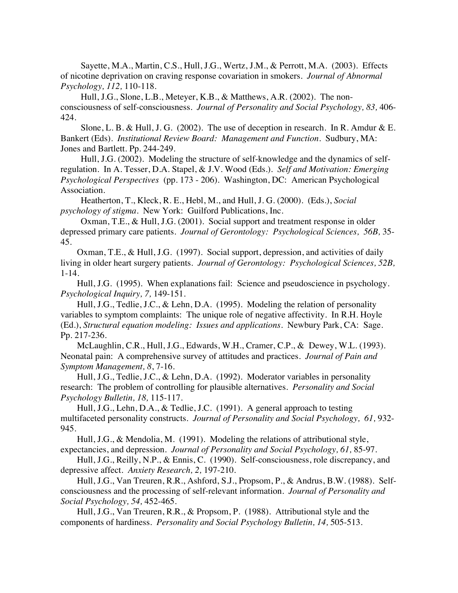Sayette, M.A., Martin, C.S., Hull, J.G., Wertz, J.M., & Perrott, M.A. (2003). Effects of nicotine deprivation on craving response covariation in smokers. *Journal of Abnormal Psychology, 112,* 110-118.

Hull, J.G., Slone, L.B., Meteyer, K.B., & Matthews, A.R. (2002). The nonconsciousness of self-consciousness. *Journal of Personality and Social Psychology, 83,* 406- 424.

Slone, L. B. & Hull, J. G. (2002). The use of deception in research. In R. Amdur & E. Bankert (Eds). *Institutional Review Board: Management and Function*. Sudbury, MA: Jones and Bartlett. Pp. 244-249.

Hull, J.G. (2002). Modeling the structure of self-knowledge and the dynamics of selfregulation. In A. Tesser, D.A. Stapel, & J.V. Wood (Eds.). *Self and Motivation: Emerging Psychological Perspectives* (pp. 173 - 206). Washington, DC: American Psychological Association.

Heatherton, T., Kleck, R. E., Hebl, M., and Hull, J. G. (2000). (Eds.), *Social psychology of stigma.* New York: Guilford Publications, Inc.

Oxman, T.E., & Hull, J.G. (2001). Social support and treatment response in older depressed primary care patients. *Journal of Gerontology: Psychological Sciences, 56B,* 35- 45.

Oxman, T.E., & Hull, J.G. (1997). Social support, depression, and activities of daily living in older heart surgery patients. *Journal of Gerontology: Psychological Sciences, 52B,* 1-14.

Hull, J.G. (1995). When explanations fail: Science and pseudoscience in psychology. *Psychological Inquiry, 7,* 149-151.

Hull, J.G., Tedlie, J.C., & Lehn, D.A. (1995). Modeling the relation of personality variables to symptom complaints: The unique role of negative affectivity. In R.H. Hoyle (Ed.), *Structural equation modeling: Issues and applications.* Newbury Park, CA: Sage. Pp. 217-236.

McLaughlin, C.R., Hull, J.G., Edwards, W.H., Cramer, C.P., & Dewey, W.L. (1993). Neonatal pain: A comprehensive survey of attitudes and practices. *Journal of Pain and Symptom Management, 8*, 7-16.

Hull, J.G., Tedlie, J.C., & Lehn, D.A. (1992). Moderator variables in personality research: The problem of controlling for plausible alternatives. *Personality and Social Psychology Bulletin, 18,* 115-117.

Hull, J.G., Lehn, D.A., & Tedlie, J.C. (1991). A general approach to testing multifaceted personality constructs. *Journal of Personality and Social Psychology, 61,* 932- 945.

Hull, J.G., & Mendolia, M. (1991). Modeling the relations of attributional style, expectancies, and depression*. Journal of Personality and Social Psychology, 61,* 85-97.

Hull, J.G., Reilly, N.P., & Ennis, C. (1990). Self-consciousness, role discrepancy, and depressive affect. *Anxiety Research, 2,* 197-210.

Hull, J.G., Van Treuren, R.R., Ashford, S.J., Propsom, P., & Andrus, B.W. (1988). Selfconsciousness and the processing of self-relevant information. *Journal of Personality and Social Psychology, 54,* 452-465.

Hull, J.G., Van Treuren, R.R., & Propsom, P. (1988). Attributional style and the components of hardiness*. Personality and Social Psychology Bulletin, 14,* 505-513.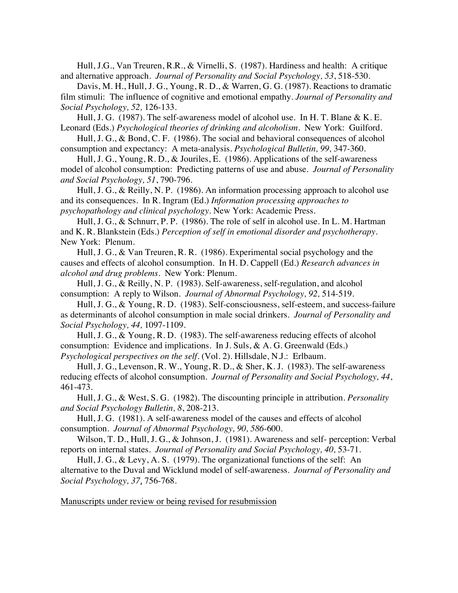Hull, J.G., Van Treuren, R.R., & Virnelli, S. (1987). Hardiness and health: A critique and alternative approach. *Journal of Personality and Social Psychology, 53*, 518-530.

Davis, M. H., Hull, J. G., Young, R. D., & Warren, G. G. (1987). Reactions to dramatic film stimuli: The influence of cognitive and emotional empathy. *Journal of Personality and Social Psychology, 52,* 126-133.

Hull, J. G. (1987). The self-awareness model of alcohol use. In H. T. Blane & K. E. Leonard (Eds.) *Psychological theories of drinking and alcoholism*. New York: Guilford.

Hull, J. G., & Bond, C. F. (1986). The social and behavioral consequences of alcohol consumption and expectancy: A meta-analysis. *Psychological Bulletin, 99,* 347-360.

Hull, J. G., Young, R. D., & Jouriles, E. (1986). Applications of the self-awareness model of alcohol consumption: Predicting patterns of use and abuse. *Journal of Personality and Social Psychology, 51*, 790-796.

Hull, J. G., & Reilly, N. P. (1986). An information processing approach to alcohol use and its consequences. In R. Ingram (Ed.) *Information processing approaches to psychopathology and clinical psychology*. New York: Academic Press.

Hull, J. G., & Schnurr, P. P. (1986). The role of self in alcohol use. In L. M. Hartman and K. R. Blankstein (Eds.) *Perception of self in emotional disorder and psychotherapy.* New York: Plenum.

Hull, J. G., & Van Treuren, R. R. (1986). Experimental social psychology and the causes and effects of alcohol consumption. In H. D. Cappell (Ed.) *Research advances in alcohol and drug problems*. New York: Plenum.

Hull, J. G., & Reilly, N. P. (1983). Self-awareness, self-regulation, and alcohol consumption: A reply to Wilson. *Journal of Abnormal Psychology, 92,* 514-519.

Hull, J. G., & Young, R. D. (1983). Self-consciousness, self-esteem, and success-failure as determinants of alcohol consumption in male social drinkers. *Journal of Personality and Social Psychology, 44,* 1097-1109.

Hull, J. G., & Young, R. D. (1983). The self-awareness reducing effects of alcohol consumption: Evidence and implications. In J. Suls, & A. G. Greenwald (Eds.) *Psychological perspectives on the self*. (Vol. 2). Hillsdale, N.J.: Erlbaum.

Hull, J. G., Levenson, R. W., Young, R. D., & Sher, K. J. (1983). The self-awareness reducing effects of alcohol consumption. *Journal of Personality and Social Psychology, 44*, 461-473.

Hull, J. G., & West, S. G. (1982). The discounting principle in attribution. *Personality and Social Psychology Bulletin, 8*, 208-213.

Hull, J. G. (1981). A self-awareness model of the causes and effects of alcohol consumption. *Journal of Abnormal Psychology, 90, 586*-600.

Wilson, T. D., Hull, J. G., & Johnson, J. (1981). Awareness and self- perception: Verbal reports on internal states*. Journal of Personality and Social Psychology, 40,* 53-71.

Hull, J. G., & Levy, A. S. (1979). The organizational functions of the self: An alternative to the Duval and Wicklund model of self-awareness*. Journal of Personality and Social Psychology, 37,* 756-768.

Manuscripts under review or being revised for resubmission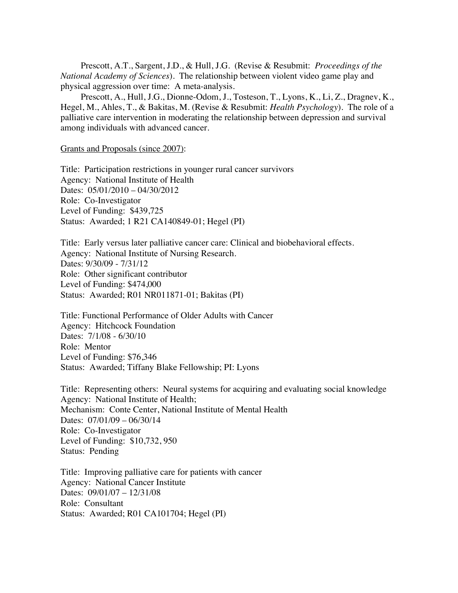Prescott, A.T., Sargent, J.D., & Hull, J.G. (Revise & Resubmit: *Proceedings of the National Academy of Sciences*). The relationship between violent video game play and physical aggression over time: A meta-analysis.

Prescott, A., Hull, J.G., Dionne-Odom, J., Tosteson, T., Lyons, K., Li, Z., Dragnev, K., Hegel, M., Ahles, T., & Bakitas, M. (Revise & Resubmit: *Health Psychology*). The role of a palliative care intervention in moderating the relationship between depression and survival among individuals with advanced cancer.

Grants and Proposals (since 2007):

Title: Participation restrictions in younger rural cancer survivors Agency: National Institute of Health Dates: 05/01/2010 – 04/30/2012 Role: Co-Investigator Level of Funding: \$439,725 Status: Awarded; 1 R21 CA140849-01; Hegel (PI)

Title: Early versus later palliative cancer care: Clinical and biobehavioral effects. Agency: National Institute of Nursing Research. Dates: 9/30/09 - 7/31/12 Role: Other significant contributor Level of Funding: \$474,000 Status: Awarded; R01 NR011871-01; Bakitas (PI)

Title: Functional Performance of Older Adults with Cancer Agency: Hitchcock Foundation Dates: 7/1/08 - 6/30/10 Role: Mentor Level of Funding: \$76,346 Status: Awarded; Tiffany Blake Fellowship; PI: Lyons

Title: Representing others: Neural systems for acquiring and evaluating social knowledge Agency: National Institute of Health; Mechanism: Conte Center, National Institute of Mental Health Dates: 07/01/09 – 06/30/14 Role: Co-Investigator Level of Funding: \$10,732, 950 Status: Pending

Title: Improving palliative care for patients with cancer Agency: National Cancer Institute Dates: 09/01/07 – 12/31/08 Role: Consultant Status: Awarded; R01 CA101704; Hegel (PI)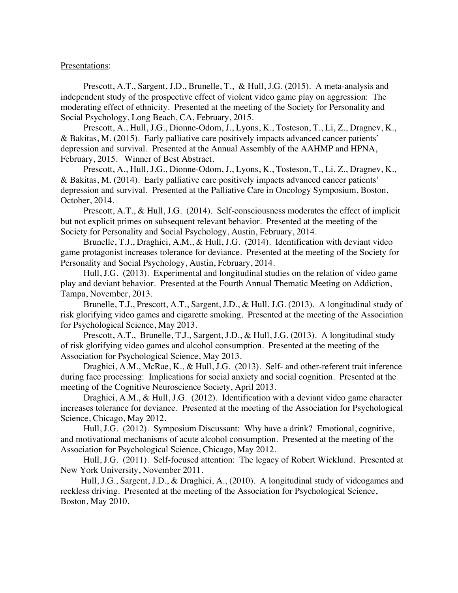#### Presentations:

Prescott, A.T., Sargent, J.D., Brunelle, T., & Hull, J.G. (2015). A meta-analysis and independent study of the prospective effect of violent video game play on aggression: The moderating effect of ethnicity. Presented at the meeting of the Society for Personality and Social Psychology, Long Beach, CA, February, 2015.

Prescott, A., Hull, J.G., Dionne-Odom, J., Lyons, K., Tosteson, T., Li, Z., Dragnev, K., & Bakitas, M. (2015). Early palliative care positively impacts advanced cancer patients' depression and survival. Presented at the Annual Assembly of the AAHMP and HPNA, February, 2015. Winner of Best Abstract.

Prescott, A., Hull, J.G., Dionne-Odom, J., Lyons, K., Tosteson, T., Li, Z., Dragnev, K., & Bakitas, M. (2014). Early palliative care positively impacts advanced cancer patients' depression and survival. Presented at the Palliative Care in Oncology Symposium, Boston, October, 2014.

Prescott, A.T., & Hull, J.G. (2014). Self-consciousness moderates the effect of implicit but not explicit primes on subsequent relevant behavior. Presented at the meeting of the Society for Personality and Social Psychology, Austin, February, 2014.

Brunelle, T.J., Draghici, A.M., & Hull, J.G. (2014). Identification with deviant video game protagonist increases tolerance for deviance. Presented at the meeting of the Society for Personality and Social Psychology, Austin, February, 2014.

Hull, J.G. (2013). Experimental and longitudinal studies on the relation of video game play and deviant behavior. Presented at the Fourth Annual Thematic Meeting on Addiction, Tampa, November, 2013.

Brunelle, T.J., Prescott, A.T., Sargent, J.D., & Hull, J.G. (2013). A longitudinal study of risk glorifying video games and cigarette smoking. Presented at the meeting of the Association for Psychological Science, May 2013.

Prescott, A.T., Brunelle, T.J., Sargent, J.D., & Hull, J.G. (2013). A longitudinal study of risk glorifying video games and alcohol consumption. Presented at the meeting of the Association for Psychological Science, May 2013.

Draghici, A.M., McRae, K., & Hull, J.G. (2013). Self- and other-referent trait inference during face processing: Implications for social anxiety and social cognition. Presented at the meeting of the Cognitive Neuroscience Society, April 2013.

Draghici, A.M., & Hull, J.G. (2012). Identification with a deviant video game character increases tolerance for deviance. Presented at the meeting of the Association for Psychological Science, Chicago, May 2012.

Hull, J.G. (2012). Symposium Discussant: Why have a drink? Emotional, cognitive, and motivational mechanisms of acute alcohol consumption. Presented at the meeting of the Association for Psychological Science, Chicago, May 2012.

Hull, J.G. (2011). Self-focused attention: The legacy of Robert Wicklund. Presented at New York University, November 2011.

Hull, J.G., Sargent, J.D., & Draghici, A., (2010). A longitudinal study of videogames and reckless driving. Presented at the meeting of the Association for Psychological Science, Boston, May 2010.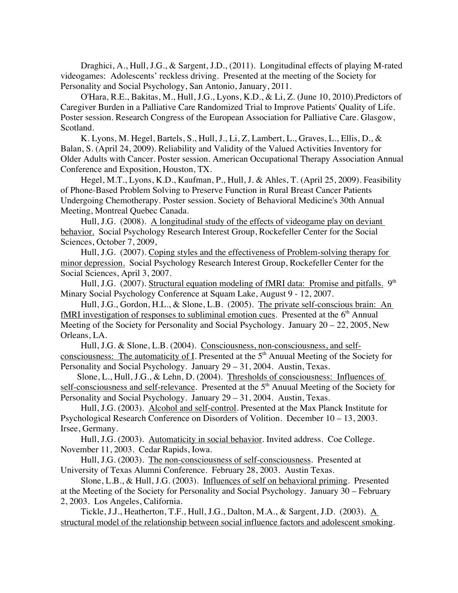Draghici, A., Hull, J.G., & Sargent, J.D., (2011). Longitudinal effects of playing M-rated videogames: Adolescents' reckless driving. Presented at the meeting of the Society for Personality and Social Psychology, San Antonio, January, 2011.

O'Hara, R.E., Bakitas, M., Hull, J.G., Lyons, K.D., & Li, Z. (June 10, 2010).Predictors of Caregiver Burden in a Palliative Care Randomized Trial to Improve Patients' Quality of Life. Poster session. Research Congress of the European Association for Palliative Care. Glasgow, Scotland.

K. Lyons, M. Hegel, Bartels, S., Hull, J., Li, Z, Lambert, L., Graves, L., Ellis, D., & Balan, S. (April 24, 2009). Reliability and Validity of the Valued Activities Inventory for Older Adults with Cancer. Poster session. American Occupational Therapy Association Annual Conference and Exposition, Houston, TX.

Hegel, M.T., Lyons, K.D., Kaufman, P., Hull, J. & Ahles, T. (April 25, 2009). Feasibility of Phone-Based Problem Solving to Preserve Function in Rural Breast Cancer Patients Undergoing Chemotherapy. Poster session. Society of Behavioral Medicine's 30th Annual Meeting, Montreal Quebec Canada.

Hull, J.G. (2008). A longitudinal study of the effects of videogame play on deviant behavior. Social Psychology Research Interest Group, Rockefeller Center for the Social Sciences, October 7, 2009,

Hull, J.G. (2007). Coping styles and the effectiveness of Problem-solving therapy for minor depression. Social Psychology Research Interest Group, Rockefeller Center for the Social Sciences, April 3, 2007.

Hull, J.G. (2007). Structural equation modeling of fMRI data: Promise and pitfalls. 9<sup>th</sup> Minary Social Psychology Conference at Squam Lake, August 9 - 12, 2007.

Hull, J.G., Gordon, H.L., & Slone, L.B. (2005). The private self-conscious brain: An  $fMRI$  investigation of responses to subliminal emotion cues. Presented at the  $6<sup>th</sup>$  Annual Meeting of the Society for Personality and Social Psychology. January 20 – 22, 2005, New Orleans, LA.

Hull, J.G. & Slone, L.B. (2004). Consciousness, non-consciousness, and selfconsciousness: The automaticity of I. Presented at the  $5<sup>th</sup>$  Anuual Meeting of the Society for Personality and Social Psychology. January 29 – 31, 2004. Austin, Texas.

Slone, L., Hull, J.G., & Lehn, D. (2004). Thresholds of consciousness: Influences of self-consciousness and self-relevance. Presented at the 5<sup>th</sup> Anuual Meeting of the Society for Personality and Social Psychology. January 29 – 31, 2004. Austin, Texas.

Hull, J.G. (2003). Alcohol and self-control. Presented at the Max Planck Institute for Psychological Research Conference on Disorders of Volition. December 10 – 13, 2003. Irsee, Germany.

Hull, J.G. (2003). Automaticity in social behavior. Invited address. Coe College. November 11, 2003. Cedar Rapids, Iowa.

Hull, J.G. (2003). The non-consciousness of self-consciousness. Presented at University of Texas Alumni Conference. February 28, 2003. Austin Texas.

Slone, L.B., & Hull, J.G. (2003). Influences of self on behavioral priming. Presented at the Meeting of the Society for Personality and Social Psychology. January 30 – February 2, 2003. Los Angeles, California.

Tickle, J.J., Heatherton, T.F., Hull, J.G., Dalton, M.A., & Sargent, J.D. (2003). A structural model of the relationship between social influence factors and adolescent smoking.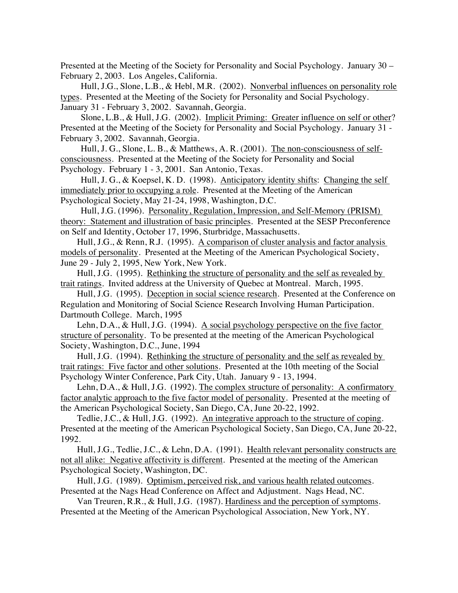Presented at the Meeting of the Society for Personality and Social Psychology. January 30 – February 2, 2003. Los Angeles, California.

Hull, J.G., Slone, L.B., & Hebl, M.R. (2002). Nonverbal influences on personality role types. Presented at the Meeting of the Society for Personality and Social Psychology. January 31 - February 3, 2002. Savannah, Georgia.

Slone, L.B., & Hull, J.G. (2002). Implicit Priming: Greater influence on self or other? Presented at the Meeting of the Society for Personality and Social Psychology. January 31 - February 3, 2002. Savannah, Georgia.

Hull, J. G., Slone, L. B., & Matthews, A. R. (2001). The non-consciousness of selfconsciousness. Presented at the Meeting of the Society for Personality and Social Psychology. February 1 - 3, 2001. San Antonio, Texas.

Hull, J. G., & Koepsel, K. D. (1998). Anticipatory identity shifts: Changing the self immediately prior to occupying a role. Presented at the Meeting of the American Psychological Society, May 21-24, 1998, Washington, D.C.

Hull, J.G. (1996). Personality, Regulation, Impression, and Self-Memory (PRISM) theory: Statement and illustration of basic principles. Presented at the SESP Preconference on Self and Identity, October 17, 1996, Sturbridge, Massachusetts.

Hull, J.G., & Renn, R.J. (1995). A comparison of cluster analysis and factor analysis models of personality. Presented at the Meeting of the American Psychological Society, June 29 - July 2, 1995, New York, New York.

Hull, J.G. (1995). Rethinking the structure of personality and the self as revealed by trait ratings. Invited address at the University of Quebec at Montreal. March, 1995.

Hull, J.G. (1995). Deception in social science research. Presented at the Conference on Regulation and Monitoring of Social Science Research Involving Human Participation. Dartmouth College. March, 1995

Lehn, D.A., & Hull, J.G. (1994). A social psychology perspective on the five factor structure of personality. To be presented at the meeting of the American Psychological Society, Washington, D.C., June, 1994

Hull, J.G. (1994). Rethinking the structure of personality and the self as revealed by trait ratings: Five factor and other solutions. Presented at the 10th meeting of the Social Psychology Winter Conference, Park City, Utah. January 9 - 13, 1994.

Lehn, D.A., & Hull, J.G. (1992). The complex structure of personality: A confirmatory factor analytic approach to the five factor model of personality. Presented at the meeting of the American Psychological Society, San Diego, CA, June 20-22, 1992.

Tedlie, J.C., & Hull, J.G. (1992). An integrative approach to the structure of coping. Presented at the meeting of the American Psychological Society, San Diego, CA, June 20-22, 1992.

Hull, J.G., Tedlie, J.C., & Lehn, D.A. (1991). Health relevant personality constructs are not all alike: Negative affectivity is different. Presented at the meeting of the American Psychological Society, Washington, DC.

Hull, J.G. (1989). Optimism, perceived risk, and various health related outcomes. Presented at the Nags Head Conference on Affect and Adjustment. Nags Head, NC.

Van Treuren, R.R., & Hull, J.G. (1987). Hardiness and the perception of symptoms. Presented at the Meeting of the American Psychological Association, New York, NY.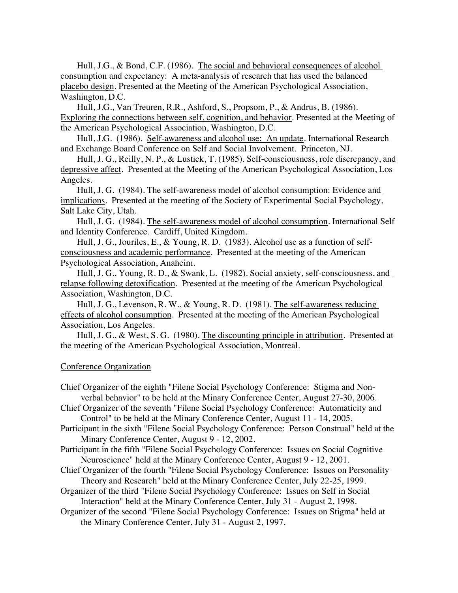Hull, J.G., & Bond, C.F. (1986). The social and behavioral consequences of alcohol consumption and expectancy: A meta-analysis of research that has used the balanced placebo design. Presented at the Meeting of the American Psychological Association, Washington, D.C.

Hull, J.G., Van Treuren, R.R., Ashford, S., Propsom, P., & Andrus, B. (1986). Exploring the connections between self, cognition, and behavior. Presented at the Meeting of the American Psychological Association, Washington, D.C.

Hull, J.G. (1986). Self-awareness and alcohol use: An update. International Research and Exchange Board Conference on Self and Social Involvement. Princeton, NJ.

Hull, J. G., Reilly, N. P., & Lustick, T. (1985). Self-consciousness, role discrepancy, and depressive affect. Presented at the Meeting of the American Psychological Association, Los Angeles.

Hull, J. G. (1984). The self-awareness model of alcohol consumption: Evidence and implications. Presented at the meeting of the Society of Experimental Social Psychology, Salt Lake City, Utah.

Hull, J. G. (1984). The self-awareness model of alcohol consumption. International Self and Identity Conference. Cardiff, United Kingdom.

Hull, J. G., Jouriles, E., & Young, R. D. (1983). Alcohol use as a function of selfconsciousness and academic performance. Presented at the meeting of the American Psychological Association, Anaheim.

Hull, J. G., Young, R. D., & Swank, L. (1982). Social anxiety, self-consciousness, and relapse following detoxification. Presented at the meeting of the American Psychological Association, Washington, D.C.

Hull, J. G., Levenson, R. W., & Young, R. D. (1981). The self-awareness reducing effects of alcohol consumption. Presented at the meeting of the American Psychological Association, Los Angeles.

Hull, J. G., & West, S. G. (1980). The discounting principle in attribution. Presented at the meeting of the American Psychological Association, Montreal.

## Conference Organization

Chief Organizer of the eighth "Filene Social Psychology Conference: Stigma and Nonverbal behavior" to be held at the Minary Conference Center, August 27-30, 2006.

Chief Organizer of the seventh "Filene Social Psychology Conference: Automaticity and Control" to be held at the Minary Conference Center, August 11 - 14, 2005.

- Participant in the sixth "Filene Social Psychology Conference: Person Construal" held at the Minary Conference Center, August 9 - 12, 2002.
- Participant in the fifth "Filene Social Psychology Conference: Issues on Social Cognitive Neuroscience" held at the Minary Conference Center, August 9 - 12, 2001.
- Chief Organizer of the fourth "Filene Social Psychology Conference: Issues on Personality Theory and Research" held at the Minary Conference Center, July 22-25, 1999.

Organizer of the third "Filene Social Psychology Conference: Issues on Self in Social Interaction" held at the Minary Conference Center, July 31 - August 2, 1998.

Organizer of the second "Filene Social Psychology Conference: Issues on Stigma" held at the Minary Conference Center, July 31 - August 2, 1997.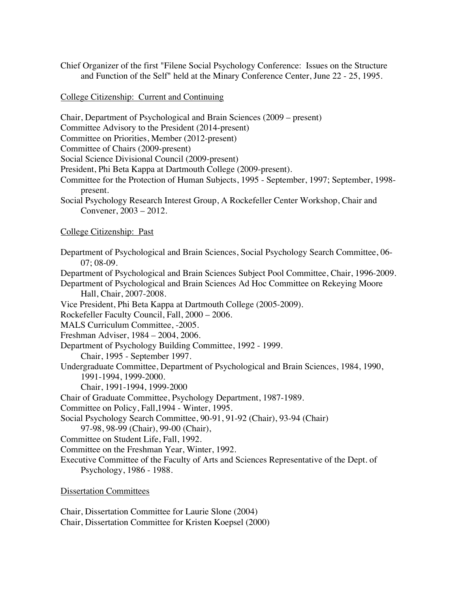Chief Organizer of the first "Filene Social Psychology Conference: Issues on the Structure and Function of the Self" held at the Minary Conference Center, June 22 - 25, 1995.

College Citizenship: Current and Continuing

Chair, Department of Psychological and Brain Sciences (2009 – present)

Committee Advisory to the President (2014-present)

Committee on Priorities, Member (2012-present)

Committee of Chairs (2009-present)

Social Science Divisional Council (2009-present)

President, Phi Beta Kappa at Dartmouth College (2009-present).

Committee for the Protection of Human Subjects, 1995 - September, 1997; September, 1998 present.

Social Psychology Research Interest Group, A Rockefeller Center Workshop, Chair and Convener, 2003 – 2012.

College Citizenship: Past

Department of Psychological and Brain Sciences, Social Psychology Search Committee, 06- 07; 08-09. Department of Psychological and Brain Sciences Subject Pool Committee, Chair, 1996-2009. Department of Psychological and Brain Sciences Ad Hoc Committee on Rekeying Moore Hall, Chair, 2007-2008. Vice President, Phi Beta Kappa at Dartmouth College (2005-2009). Rockefeller Faculty Council, Fall, 2000 – 2006. MALS Curriculum Committee, -2005. Freshman Adviser, 1984 – 2004, 2006. Department of Psychology Building Committee, 1992 - 1999. Chair, 1995 - September 1997. Undergraduate Committee, Department of Psychological and Brain Sciences, 1984, 1990, 1991-1994, 1999-2000. Chair, 1991-1994, 1999-2000 Chair of Graduate Committee, Psychology Department, 1987-1989. Committee on Policy, Fall,1994 - Winter, 1995. Social Psychology Search Committee, 90-91, 91-92 (Chair), 93-94 (Chair) 97-98, 98-99 (Chair), 99-00 (Chair), Committee on Student Life, Fall, 1992. Committee on the Freshman Year, Winter, 1992. Executive Committee of the Faculty of Arts and Sciences Representative of the Dept. of Psychology, 1986 - 1988. Dissertation Committees

Chair, Dissertation Committee for Laurie Slone (2004)

Chair, Dissertation Committee for Kristen Koepsel (2000)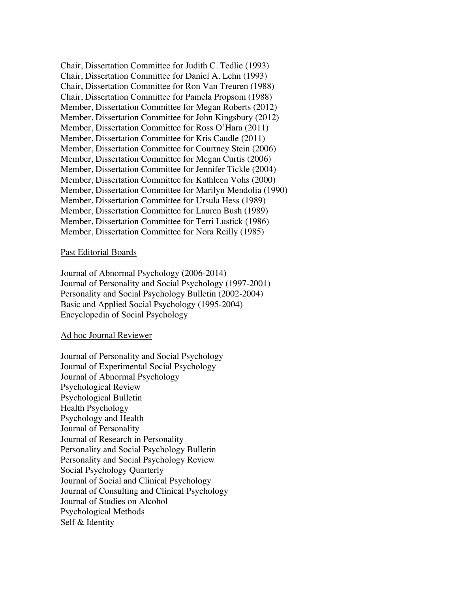Chair, Dissertation Committee for Judith C. Tedlie (1993) Chair, Dissertation Committee for Daniel A. Lehn (1993) Chair, Dissertation Committee for Ron Van Treuren (1988) Chair, Dissertation Committee for Pamela Propsom (1988) Member, Dissertation Committee for Megan Roberts (2012) Member, Dissertation Committee for John Kingsbury (2012) Member, Dissertation Committee for Ross O'Hara (2011) Member, Dissertation Committee for Kris Caudle (2011) Member, Dissertation Committee for Courtney Stein (2006) Member, Dissertation Committee for Megan Curtis (2006) Member, Dissertation Committee for Jennifer Tickle (2004) Member, Dissertation Committee for Kathleen Vohs (2000) Member, Dissertation Committee for Marilyn Mendolia (1990) Member, Dissertation Committee for Ursula Hess (1989) Member, Dissertation Committee for Lauren Bush (1989) Member, Dissertation Committee for Terri Lustick (1986) Member, Dissertation Committee for Nora Reilly (1985)

#### Past Editorial Boards

Journal of Abnormal Psychology (2006-2014) Journal of Personality and Social Psychology (1997-2001) Personality and Social Psychology Bulletin (2002-2004) Basic and Applied Social Psychology (1995-2004) Encyclopedia of Social Psychology

### Ad hoc Journal Reviewer

Journal of Personality and Social Psychology Journal of Experimental Social Psychology Journal of Abnormal Psychology Psychological Review Psychological Bulletin Health Psychology Psychology and Health Journal of Personality Journal of Research in Personality Personality and Social Psychology Bulletin Personality and Social Psychology Review Social Psychology Quarterly Journal of Social and Clinical Psychology Journal of Consulting and Clinical Psychology Journal of Studies on Alcohol Psychological Methods Self & Identity